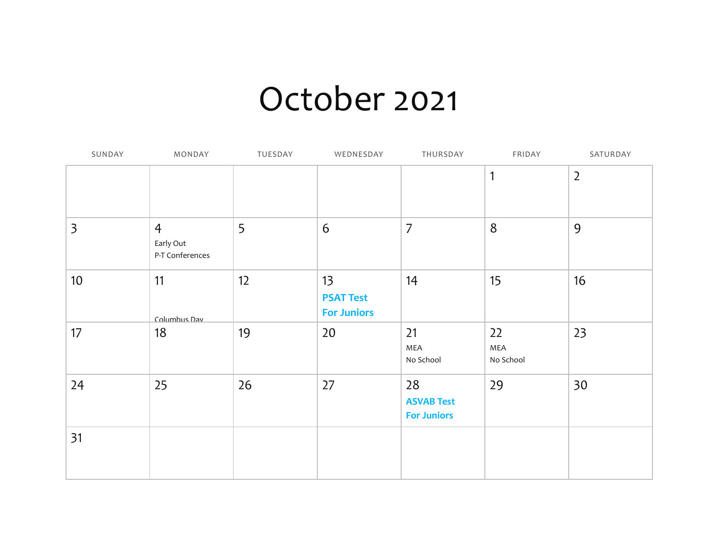## October 2021

| SUNDAY                  | MONDAY                                         | TUESDAY | WEDNESDAY                                    | THURSDAY                                      | FRIDAY                 | SATURDAY       |
|-------------------------|------------------------------------------------|---------|----------------------------------------------|-----------------------------------------------|------------------------|----------------|
|                         |                                                |         |                                              |                                               | $\mathbf{1}$           | $\overline{2}$ |
| $\overline{\mathbf{3}}$ | $\overline{4}$<br>Early Out<br>P-T Conferences | 5       | 6                                            | $\overline{7}$                                | $8\phantom{1}$         | 9              |
| 10 <sup>°</sup>         | 11<br>Columbus Dav                             | 12      | 13<br><b>PSAT Test</b><br><b>For Juniors</b> | 14                                            | 15                     | 16             |
| 17                      | 18                                             | 19      | 20                                           | 21<br>MEA<br>No School                        | 22<br>MEA<br>No School | 23             |
| 24                      | 25                                             | 26      | 27                                           | 28<br><b>ASVAB Test</b><br><b>For Juniors</b> | 29                     | 30             |
| 31                      |                                                |         |                                              |                                               |                        |                |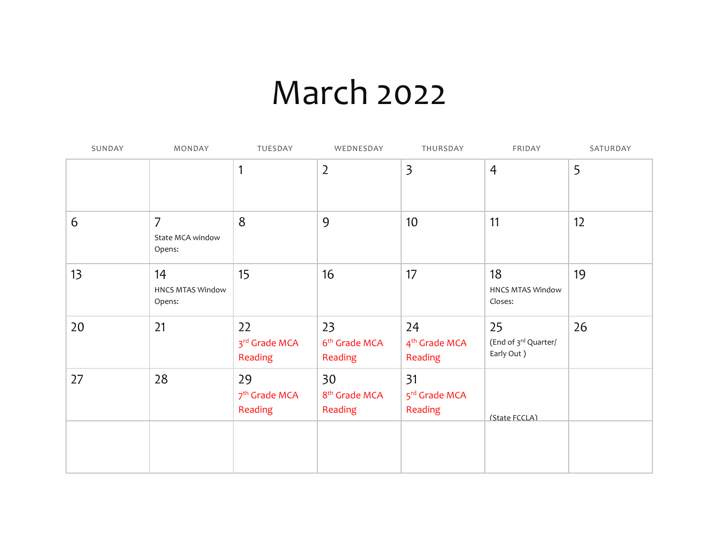## March 2022

| SUNDAY | MONDAY                                       | TUESDAY                                    | WEDNESDAY                                  | THURSDAY                                   | FRIDAY                                   | SATURDAY |
|--------|----------------------------------------------|--------------------------------------------|--------------------------------------------|--------------------------------------------|------------------------------------------|----------|
|        |                                              | 1                                          | $\overline{2}$                             | $\overline{\mathbf{3}}$                    | $\overline{4}$                           | 5        |
| 6      | $\overline{7}$<br>State MCA window<br>Opens: | 8                                          | 9                                          | 10                                         | 11                                       | 12       |
| 13     | 14<br><b>HNCS MTAS Window</b><br>Opens:      | 15                                         | 16                                         | 17                                         | 18<br><b>HNCS MTAS Window</b><br>Closes: | 19       |
| 20     | 21                                           | 22<br>3rd Grade MCA<br>Reading             | 23<br>6 <sup>th</sup> Grade MCA<br>Reading | 24<br>4 <sup>th</sup> Grade MCA<br>Reading | 25<br>(End of 3rd Quarter/<br>Early Out) | 26       |
| 27     | 28                                           | 29<br>7 <sup>th</sup> Grade MCA<br>Reading | 30<br>8 <sup>th</sup> Grade MCA<br>Reading | 31<br>5rd Grade MCA<br>Reading             | (State FCCLA)                            |          |
|        |                                              |                                            |                                            |                                            |                                          |          |